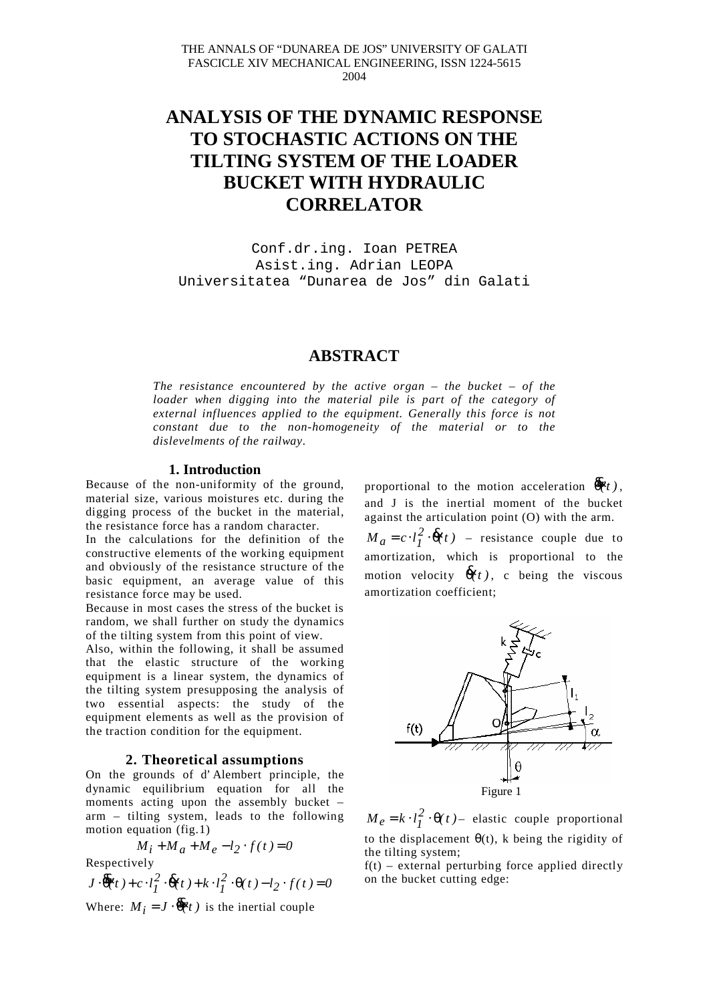# **ANALYSIS OF THE DYNAMIC RESPONSE TO STOCHASTIC ACTIONS ON THE TILTING SYSTEM OF THE LOADER BUCKET WITH HYDRAULIC CORRELATOR**

Conf.dr.ing. Ioan PETREA Asist.ing. Adrian LEOPA Universitatea "Dunarea de Jos" din Galati

# **ABSTRACT**

*The resistance encountered by the active organ – the bucket – of the loader when digging into the material pile is part of the category of external influences applied to the equipment. Generally this force is not constant due to the non-homogeneity of the material or to the dislevelments of the railway.*

#### **1. Introduction**

Because of the non-uniformity of the ground, material size, various moistures etc. during the digging process of the bucket in the material, the resistance force has a random character.

In the calculations for the definition of the constructive elements of the working equipment and obviously of the resistance structure of the basic equipment, an average value of this resistance force may be used.

Because in most cases the stress of the bucket is random, we shall further on study the dynamics of the tilting system from this point of view.

Also, within the following, it shall be assumed that the elastic structure of the working equipment is a linear system, the dynamics of the tilting system presupposing the analysis of two essential aspects: the study of the equipment elements as well as the provision of the traction condition for the equipment.

## **2. Theoretical assumptions**

On the grounds of d' Alembert principle, the dynamic equilibrium equation for all the moments acting upon the assembly bucket – arm – tilting system, leads to the following motion equation (fig.1)

$$
M_i + M_a + M_e - l_2 \cdot f(t) = 0
$$

Respectively

 $J \cdot \overline{\theta}(t) + c \cdot l_I^2 \cdot \overline{\theta}(t) + k \cdot l_I^2 \cdot \theta(t) - l_2 \cdot f(t) = 0$ *1 2*  $\cdot \overline{\theta}(t) + c \cdot l_l^2 \cdot \overline{\theta}(t) + k \cdot l_l^2 \cdot \theta(t) - l_2 \cdot f(t) =$ Where:  $M_i = J \cdot \overline{\theta}(t)$  is the inertial couple

proportional to the motion acceleration  $\vec{\theta}(t)$ , and J is the inertial moment of the bucket against the articulation point (O) with the arm.  $M_a = c \cdot l_I^2 \cdot \dot{\theta}(t)$  – resistance couple due to amortization, which is proportional to the motion velocity  $\vec{\theta}(t)$ , c being the viscous

amortization coefficient;



 $M_e = k \cdot l_I^2 \cdot \Theta(t)$  – elastic couple proportional to the displacement  $\theta(t)$ , k being the rigidity of the tilting system;

 $f(t)$  – external perturbing force applied directly on the bucket cutting edge: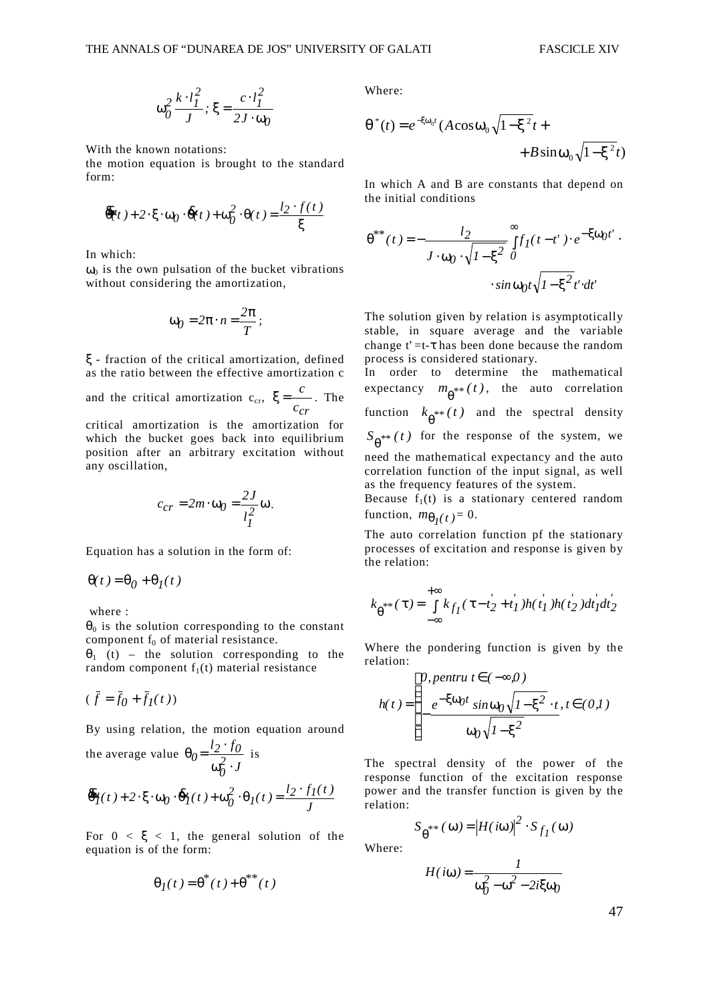$$
\omega_0^2 \frac{k \cdot l_I^2}{J}; \xi = \frac{c \cdot l_I^2}{2J \cdot \omega_0}
$$

With the known notations:

the motion equation is brought to the standard form:

$$
\overline{\theta}(t) + 2 \cdot \xi \cdot \omega_0 \cdot \overline{\theta}(t) + \omega_0^2 \cdot \theta(t) = \frac{l_2 \cdot f(t)}{\xi}
$$

In which:

 $\omega_0$  is the own pulsation of the bucket vibrations without considering the amortization,

$$
\omega_0 = 2\pi \cdot n = \frac{2\pi}{T};
$$

ξ - fraction of the critical amortization, defined as the ratio between the effective amortization c

and the critical amortization  $c_{cr}$ ,  $\xi = \frac{c}{c_{cr}}$  $\xi = \frac{c}{c}$ . The

critical amortization is the amortization for which the bucket goes back into equilibrium position after an arbitrary excitation without any oscillation,

$$
c_{cr} = 2m \cdot \omega_0 = \frac{2J}{l_I^2} \omega.
$$

Equation has a solution in the form of:

$$
\Theta(t) = \Theta_0 + \Theta_I(t)
$$

where :

 $\theta_0$  is the solution corresponding to the constant component  $f_0$  of material resistance.

 $\theta_1$  (t) – the solution corresponding to the random component  $f_1(t)$  material resistance

$$
(\bar{f} = \bar{f}_0 + \bar{f}_1(t))
$$

By using relation, the motion equation around

the average value *J*  $l_2 \cdot f$ *2 0*  $0 = \frac{l_2 \cdot f_0}{\omega_0^2 \cdot J}$  $\theta_0 = \frac{l_2 \cdot f_0}{r^2}$  is

$$
\overline{\theta}_I(t) + 2 \cdot \xi \cdot \omega_0 \cdot \overline{\theta}_I(t) + \omega_0^2 \cdot \theta_I(t) = \frac{l_2 \cdot f_I(t)}{J}
$$

For  $0 < \xi < 1$ , the general solution of the equation is of the form:

$$
\Theta_I(t) = \Theta^*(t) + \Theta^{**}(t)
$$

Where:

$$
\theta^*(t) = e^{-\xi \omega_0 t} (A \cos \omega_0 \sqrt{1 - \xi^2} t + B \sin \omega_0 \sqrt{1 - \xi^2} t)
$$

In which A and B are constants that depend on the initial conditions

$$
\theta^{**}(t) = -\frac{l_2}{J \cdot \omega_0 \cdot \sqrt{I - \xi^2}} \int_0^\infty f_I(t - t') \cdot e^{-\xi \omega_0 t'}.
$$

$$
\cdot \sin \omega_0 t \sqrt{I - \xi^2} t' \cdot dt'
$$

The solution given by relation is asymptotically stable, in square average and the variable change  $t' = t - \tau$  has been done because the random process is considered stationary.

In order to determine the mathematical expectancy  $m_{\theta^{**}}(t)$ , the auto correlation function  $k_{\theta^{**}}(t)$  and the spectral density  $S_{\theta^{**}}(t)$  for the response of the system, we need the mathematical expectancy and the auto correlation function of the input signal, as well as the frequency features of the system.

Because  $f_1(t)$  is a stationary centered random function,  $m_{\theta_I}(t) = 0$ .

The auto correlation function pf the stationary processes of excitation and response is given by the relation:

$$
k_{\theta^{**}}(\tau) = \int_{-\infty}^{+\infty} k_{f_1}(\tau - t_2' + t_1') h(t_1') h(t_2') dt_1' dt_2'
$$

Where the pondering function is given by the relation:

$$
h(t) = \begin{cases} 0, \text{ pentru } t \in (-\infty, 0) \\ -\frac{e^{-\xi \omega_0 t} \sin \omega_0 \sqrt{1 - \xi^2} \cdot t}{\omega_0 \sqrt{1 - \xi^2}}, t \in (0, 1) \end{cases}
$$

The spectral density of the power of the response function of the excitation response power and the transfer function is given by the relation:

$$
S_{\theta^{**}}(\omega) = |H(i\omega)|^2 \cdot S_{f_I}(\omega)
$$

Where:

$$
H(i\omega) = \frac{1}{\omega_0^2 - \omega^2 - 2i\xi\omega_0}
$$

47